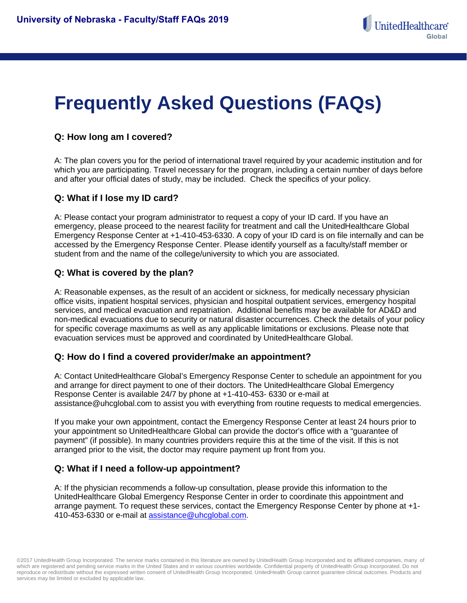# **Frequently Asked Questions (FAQs)**

## **Q: How long am I covered?**

A: The plan covers you for the period of international travel required by your academic institution and for which you are participating. Travel necessary for the program, including a certain number of days before and after your official dates of study, may be included. Check the specifics of your policy.

## **Q: What if I lose my ID card?**

A: Please contact your program administrator to request a copy of your ID card. If you have an emergency, please proceed to the nearest facility for treatment and call the UnitedHealthcare Global Emergency Response Center at +1-410-453-6330. A copy of your ID card is on file internally and can be accessed by the Emergency Response Center. Please identify yourself as a faculty/staff member or student from and the name of the college/university to which you are associated.

## **Q: What is covered by the plan?**

A: Reasonable expenses, as the result of an accident or sickness, for medically necessary physician office visits, inpatient hospital services, physician and hospital outpatient services, emergency hospital services, and medical evacuation and repatriation. Additional benefits may be available for AD&D and non-medical evacuations due to security or natural disaster occurrences. Check the details of your policy for specific coverage maximums as well as any applicable limitations or exclusions. Please note that evacuation services must be approved and coordinated by UnitedHealthcare Global.

## **Q: How do I find a covered provider/make an appointment?**

A: Contact UnitedHealthcare Global's Emergency Response Center to schedule an appointment for you and arrange for direct payment to one of their doctors. The UnitedHealthcare Global Emergency Response Center is available 24/7 by phone at +1-410-453- 6330 or e-mail at assistance@uhcglobal.com to assist you with everything from routine requests to medical emergencies.

If you make your own appointment, contact the Emergency Response Center at least 24 hours prior to your appointment so UnitedHealthcare Global can provide the doctor's office with a "guarantee of payment" (if possible). In many countries providers require this at the time of the visit. If this is not arranged prior to the visit, the doctor may require payment up front from you.

## **Q: What if I need a follow-up appointment?**

A: If the physician recommends a follow-up consultation, please provide this information to the UnitedHealthcare Global Emergency Response Center in order to coordinate this appointment and arrange payment. To request these services, contact the Emergency Response Center by phone at +1 410-453-6330 or e-mail at [assistance@uhcglobal.com.](mailto:assistance@uhcglobal.com)

©2017 UnitedHealth Group Incorporated. The service marks contained in this literature are owned by UnitedHealth Group Incorporated and its affiliated companies, many of which are registered and pending service marks in the United States and in various countries worldwide. Confidential property of UnitedHealth Group Incorporated. Do not reproduce or redistribute without the expressed written consent of UnitedHealth Group Incorporated. UnitedHealth Group cannot guarantee clinical outcomes. Products and services may be limited or excluded by applicable law.